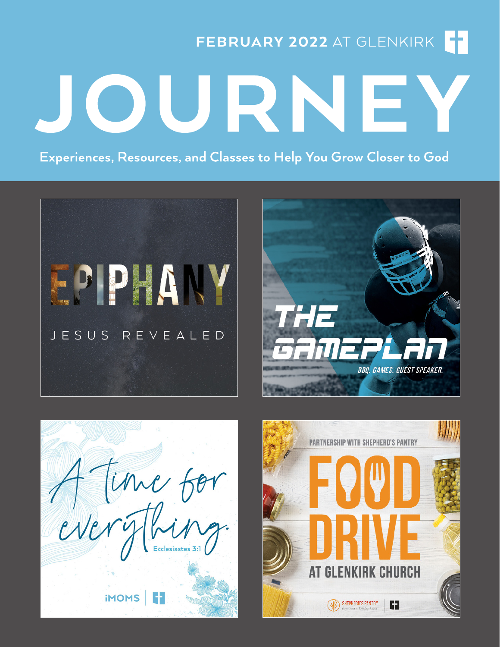FEBRUARY 2022 AT GLENKIRK

JOU RNE

Experiences, Resources, and Classes to Help You Grow Closer to God







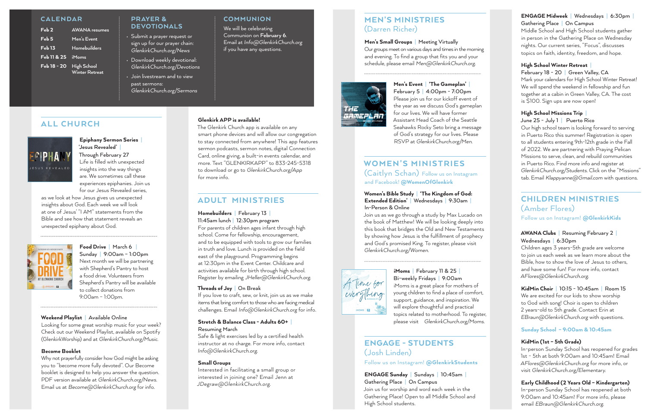#### PRAYER & DEVOTIONALS

- Submit a prayer request or sign up for our prayer chain: *GlenkirkChurch.org/News*
- Download weekly devotional: *GlenkirkChurch.org/Devotions*
- Join livestream and to view past sermons: *GlenkirkChurch.org/Sermons*

## **COMMUNION**

#### **CALENDAR**

| Feb2             | <b>AWANA</b> resumes                        |
|------------------|---------------------------------------------|
| Feb <sub>5</sub> | Men's Event                                 |
| Feb 13           | Homebuilders                                |
| Feb 11 & 25      | <b>iMoms</b>                                |
| Feb 18 - 20      | <b>High School</b><br><b>Winter Retreat</b> |

# ALL CHURCH



### Epiphany Sermon Series **| 'Jesus Revealed' |**  Through February 27 Life is filled with unexpected insights into the way things

are. We sometimes call these experiences epiphanies. Join us for our Jesus Revealed series,

as we look at how Jesus gives us unexpected insights about God. Each week we will look at one of Jesus' "I AM" statements from the Bible and see how that statement reveals an unexpected epiphany about God.



### Food Drive **|** March 6 **|**  Sunday **|** 9:00am – 1:00pm Next month we will be partnering with Shepherd's Pantry to host a food drive. Volunteers from Shepherd's Pantry will be available to collect donations from 9:00am – 1:00pm.

#### Weekend Playlist **|** Available Online

Looking for some great worship music for your week? Check out our Weekend Playlist, available on Spotify (GlenkirkWorship) and at *GlenkirkChurch.org/Music*.

#### Become Booklet

Why not prayerfully consider how God might be asking you to "become more fully devoted". Our Become booklet is designed to help you answer the question. PDF version available at *GlenkirkChurch.org/News*. Email us at *Become@GlenkirkChurch.org* for info.

### Glenkirk APP is available!

The Glenkirk Church app is available on any smart phone devices and will allow our congregation to stay connected from anywhere! This app features sermon podcasts, sermon notes, digital Connection Card, online giving, a built-in events calendar, and more. Text "GLENKIRKAPP" to 833-245-5318 to download or go to *GlenkirkChurch.org/App* for more info.

## ADULT MINISTRIES

Homebuilders **|** February 13 **|**  11:45am lunch **|** 12:30pm program

For parents of children ages infant through high school. Come for fellowship, encouragement, and to be equipped with tools to grow our families in truth and love. Lunch is provided on the field east of the playground. Programming begins at 12:30pm in the Event Center. Childcare and activities available for birth through high school. Register by emailing *JHeller@GlenkirkChurch.org.*

### Threads of Joy **|** On Break

If you love to craft, sew, or knit, join us as we make items that bring comfort to those who are facing medical challenges. Email *Info@GlenkirkChurch.org* for info.

## Stretch & Balance Class - Adults 60+ **|**

### Resuming March

Safe & light exercises led by a certified health instructor at no charge. For more info, contact *Info@GlenkirkChurch.org*.

### Small Groups

Interested in facilitating a small group or interested in joining one? Email Jenn at *JDegraw@GlenkirkChurch.org*.

## MEN'S MINISTRIES (Darren Richer)

### Men's Small Groups **|** Meeting Virtually

Our groups meet on various days and times in the morning and evening. To find a group that fits you and your schedule, please email *Men@GlenkirkChurch.org.*



Men's Event **|** 'The Gameplan' **|**  February 5 **|** 4:00pm - 7:00pm Please join us for our kickoff event of the year as we discuss God's gameplan for our lives. We will have former Assistant Head Coach of the Seattle Seahawks Rocky Seto bring a message of God's strategy for our lives. Please RSVP at *GlenkirkChurch.org/Men*.

## WOMEN'S MINISTRIES (Caitlyn Schan) Follow us on Instagram and Facebook! @WomenOfGlenkirk

#### Women's Bible Study **|** 'The Kingdom of God: Extended Edition' **|** Wednesdays **|** 9:30am **|**  In-Person & Online

Join us as we go through a study by Max Lucado on the book of Matthew! We will be looking deeply into this book that bridges the Old and New Testaments by showing how Jesus is the fulfillment of prophecy and God's promised King. To register, please visit *GlenkirkChurch.org/Women*.



iMoms **|** February 11 & 25 **|**  Bi-weekly Fridays **|** 9:00am iMoms is a great place for mothers of young children to find a place of comfort, support, guidance, and inspiration. We will explore thoughtful and practical

# topics related to motherhood. To register, please visit *GlenkirkChurch.org/Moms*.

## ENGAGE - STUDENTS (Josh Linden)

Follow us on Instagram! @GlenkirkStudents

ENGAGE Sunday **|** Sundays **|** 10:45am **|**  Gathering Place **|** On Campus Join us for worship and word each week in the Gathering Place! Open to all Middle School and High School students.

### ENGAGE Midweek **|** Wednesdays **|** 6:30pm **|**  Gathering Place **|** On Campus

Middle School and High School students gather in person in the Gathering Place on Wednesday nights. Our current series, "Focus", discusses topics on faith, identity, freedom, and hope.

### High School Winter Retreat **|**

### February 18 - 20 **|** Green Valley, CA

Mark your calendars for High School Winter Retreat! We will spend the weekend in fellowship and fun together at a cabin in Green Valley, CA. The cost is \$100. Sign ups are now open!

### High School Missions Trip **|**

### June 25 - July 1 **|** Puerto Rico

Our high school team is looking forward to serving in Puerto Rico this summer! Registration is open to all students entering 9th-12th grade in the Fall of 2022. We are partnering with Praying Pelican Missions to serve, clean, and rebuild communities in Puerto Rico. Find more info and register at *GlenkirkChurch.org/Students*. Click on the "Missions" tab. Email *Klappyanne@Gmail.com* with questions.

# CHILDREN MINISTRIES (Amber Flores)

Follow us on Instagram! @GlenkirkKids

### AWANA Clubs **|** Resuming February 2 **|**  Wednesdays **|** 6:30pm

Children ages 3 years-5th grade are welcome to join us each week as we learn more about the Bible, how to show the love of Jesus to others, and have some fun! For more info, contact *AFlores@GlenkirkChurch.org*.

#### KidMin Choir **|** 10:15 - 10:45am **|** Room 15 We are excited for our kids to show worship

to God with song! Choir is open to children 2 years-old to 5th grade. Contact Erin at *EBraun@GlenkirkChurch.org* with questions.

### Sunday School – 9:00am & 10:45am

### KidMin (1st – 5th Grade)

In-person Sunday School has reopened for grades 1st - 5th at both 9:00am and 10:45am! Email *AFlores@GlenkirkChurch.org* for more info, or visit *GlenkirkChurch.org/Elementary*.

### Early Childhood (2 Years Old – Kindergarten) In-person Sunday School has reopened at both 9:00am and 10:45am! For more info, please email *EBraun@GlenkirkChurch.org*.

We will be celebrating Communion on **February 6**. Email at *Info@GlenkirkChurch.org* if you have any questions.